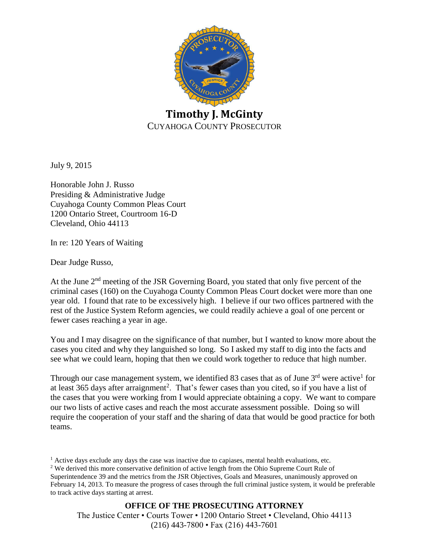

July 9, 2015

Honorable John J. Russo Presiding & Administrative Judge Cuyahoga County Common Pleas Court 1200 Ontario Street, Courtroom 16-D Cleveland, Ohio 44113

In re: 120 Years of Waiting

Dear Judge Russo,

At the June 2<sup>nd</sup> meeting of the JSR Governing Board, you stated that only five percent of the criminal cases (160) on the Cuyahoga County Common Pleas Court docket were more than one year old. I found that rate to be excessively high. I believe if our two offices partnered with the rest of the Justice System Reform agencies, we could readily achieve a goal of one percent or fewer cases reaching a year in age.

You and I may disagree on the significance of that number, but I wanted to know more about the cases you cited and why they languished so long. So I asked my staff to dig into the facts and see what we could learn, hoping that then we could work together to reduce that high number.

Through our case management system, we identified 83 cases that as of June  $3<sup>rd</sup>$  were active<sup>1</sup> for at least 365 days after arraignment<sup>2</sup>. That's fewer cases than you cited, so if you have a list of the cases that you were working from I would appreciate obtaining a copy. We want to compare our two lists of active cases and reach the most accurate assessment possible. Doing so will require the cooperation of your staff and the sharing of data that would be good practice for both teams.

 $<sup>1</sup>$  Active days exclude any days the case was inactive due to capiases, mental health evaluations, etc.</sup> <sup>2</sup> We derived this more conservative definition of active length from the Ohio Supreme Court Rule of Superintendence 39 and the metrics from the JSR Objectives, Goals and Measures, unanimously approved on February 14, 2013. To measure the progress of cases through the full criminal justice system, it would be preferable to track active days starting at arrest.

**OFFICE OF THE PROSECUTING ATTORNEY**

The Justice Center • Courts Tower • 1200 Ontario Street • Cleveland, Ohio 44113 (216) 443-7800 • Fax (216) 443-7601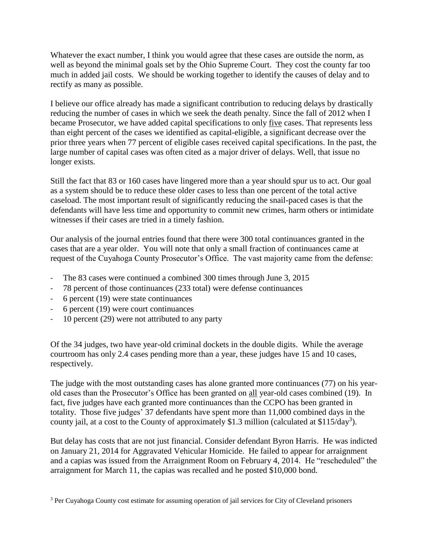Whatever the exact number, I think you would agree that these cases are outside the norm, as well as beyond the minimal goals set by the Ohio Supreme Court. They cost the county far too much in added jail costs. We should be working together to identify the causes of delay and to rectify as many as possible.

I believe our office already has made a significant contribution to reducing delays by drastically reducing the number of cases in which we seek the death penalty. Since the fall of 2012 when I became Prosecutor, we have added capital specifications to only five cases. That represents less than eight percent of the cases we identified as capital-eligible, a significant decrease over the prior three years when 77 percent of eligible cases received capital specifications. In the past, the large number of capital cases was often cited as a major driver of delays. Well, that issue no longer exists.

Still the fact that 83 or 160 cases have lingered more than a year should spur us to act. Our goal as a system should be to reduce these older cases to less than one percent of the total active caseload. The most important result of significantly reducing the snail-paced cases is that the defendants will have less time and opportunity to commit new crimes, harm others or intimidate witnesses if their cases are tried in a timely fashion.

Our analysis of the journal entries found that there were 300 total continuances granted in the cases that are a year older. You will note that only a small fraction of continuances came at request of the Cuyahoga County Prosecutor's Office. The vast majority came from the defense:

- The 83 cases were continued a combined 300 times through June 3, 2015
- 78 percent of those continuances (233 total) were defense continuances
- 6 percent (19) were state continuances
- 6 percent (19) were court continuances
- $10$  percent (29) were not attributed to any party

Of the 34 judges, two have year-old criminal dockets in the double digits. While the average courtroom has only 2.4 cases pending more than a year, these judges have 15 and 10 cases, respectively.

The judge with the most outstanding cases has alone granted more continuances (77) on his yearold cases than the Prosecutor's Office has been granted on all year-old cases combined (19). In fact, five judges have each granted more continuances than the CCPO has been granted in totality. Those five judges' 37 defendants have spent more than 11,000 combined days in the county jail, at a cost to the County of approximately \$1.3 million (calculated at \$115/day<sup>3</sup>).

But delay has costs that are not just financial. Consider defendant Byron Harris. He was indicted on January 21, 2014 for Aggravated Vehicular Homicide. He failed to appear for arraignment and a capias was issued from the Arraignment Room on February 4, 2014. He "rescheduled" the arraignment for March 11, the capias was recalled and he posted \$10,000 bond.

<sup>3</sup> Per Cuyahoga County cost estimate for assuming operation of jail services for City of Cleveland prisoners